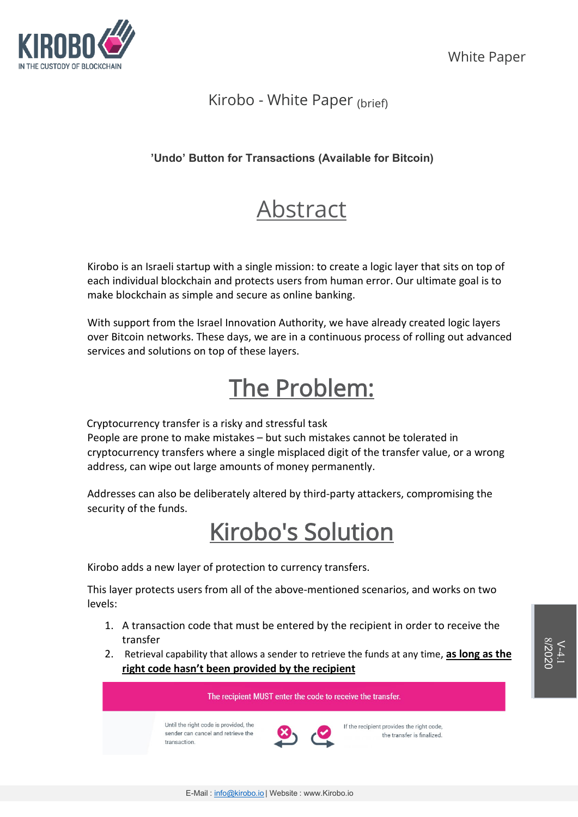

### Kirobo - White Paper (brief)

### **'Undo' Button for Transactions (Available for Bitcoin)**

# Abstract

Kirobo is an Israeli startup with a single mission: to create a logic layer that sits on top of each individual blockchain and protects users from human error. Our ultimate goal is to make blockchain as simple and secure as online banking.

With support from the Israel Innovation Authority, we have already created logic layers over Bitcoin networks. These days, we are in a continuous process of rolling out advanced services and solutions on top of these layers.

# The Problem:

Cryptocurrency transfer is a risky and stressful task

People are prone to make mistakes – but such mistakes cannot be tolerated in cryptocurrency transfers where a single misplaced digit of the transfer value, or a wrong address, can wipe out large amounts of money permanently.

Addresses can also be deliberately altered by third-party attackers, compromising the security of the funds.

# Kirobo's Solution

Kirobo adds a new layer of protection to currency transfers.

This layer protects users from all of the above-mentioned scenarios, and works on two levels:

- 1. A transaction code that must be entered by the recipient in order to receive the transfer
- 2. Retrieval capability that allows a sender to retrieve the funds at any time, **as long as the right code hasn't been provided by the recipient**

Until the right code is provided, the sender can cancel and retrieve the transaction.



If the recipient provides the right code, the transfer is finalized.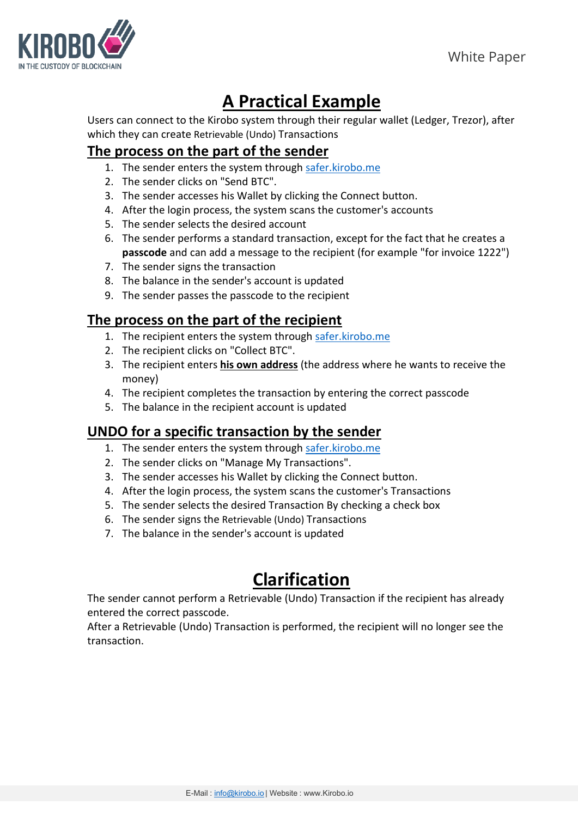

## **A Practical Example**

Users can connect to the Kirobo system through their regular wallet (Ledger, Trezor), after which they can create Retrievable (Undo) Transactions

### **The process on the part of the sender**

- 1. The sender enters the system through [safer.kirobo.me](https://safer.kirobo.me/welcome)
- 2. The sender clicks on "Send BTC".
- 3. The sender accesses his Wallet by clicking the Connect button.
- 4. After the login process, the system scans the customer's accounts
- 5. The sender selects the desired account
- 6. The sender performs a standard transaction, except for the fact that he creates a **passcode** and can add a message to the recipient (for example "for invoice 1222")
- 7. The sender signs the transaction
- 8. The balance in the sender's account is updated
- 9. The sender passes the passcode to the recipient

### **The process on the part of the recipient**

- 1. The recipient enters the system throug[h safer.kirobo.me](https://safer.kirobo.me/welcome)
- 2. The recipient clicks on "Collect BTC".
- 3. The recipient enters **his own address** (the address where he wants to receive the money)
- 4. The recipient completes the transaction by entering the correct passcode
- 5. The balance in the recipient account is updated

### **UNDO for a specific transaction by the sender**

- 1. The sender enters the system through [safer.kirobo.me](https://safer.kirobo.me/welcome)
- 2. The sender clicks on "Manage My Transactions".
- 3. The sender accesses his Wallet by clicking the Connect button.
- 4. After the login process, the system scans the customer's Transactions
- 5. The sender selects the desired Transaction By checking a check box
- 6. The sender signs the Retrievable (Undo) Transactions
- 7. The balance in the sender's account is updated

## **Clarification**

The sender cannot perform a Retrievable (Undo) Transaction if the recipient has already entered the correct passcode.

After a Retrievable (Undo) Transaction is performed, the recipient will no longer see the transaction.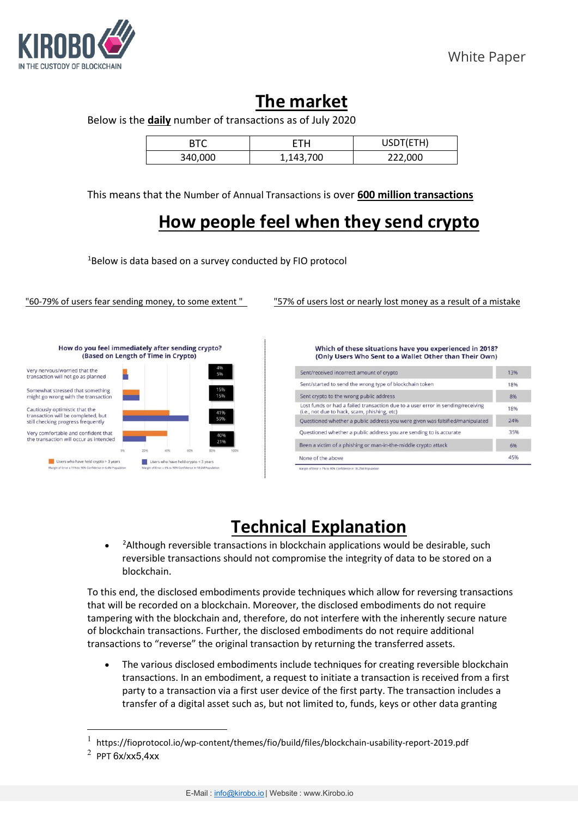

### **The market**

Below is the **daily** number of transactions as of July 2020

|         | ΠН        | USDT(ETH) |
|---------|-----------|-----------|
| 340,000 | 1,143,700 | 222,000   |

This means that the Number of Annual Transactions is over **600 million transactions**

## **How people feel when they send crypto**

[1](#page-2-0) Below is data based on a survey conducted by FIO protocol

"60-79% of users fear sending money, to some extent " "57% of users lost or nearly lost money as a result of a mistake



Which of these situations have you experienced in 2018? (Only Users Who Sent to a Wallet Other than Their Own)

| Sent/received incorrect amount of crypto                                                                                        |     |
|---------------------------------------------------------------------------------------------------------------------------------|-----|
| Sent/started to send the wrong type of blockchain token                                                                         |     |
| Sent crypto to the wrong public address                                                                                         |     |
| Lost funds or had a failed transaction due to a user error in sending/receiving<br>(i.e., not due to hack, scam, phishing, etc) |     |
| Ouestioned whether a public address you were given was falsified/manipulated                                                    | 24% |
| Questioned whether a public address you are sending to is accurate                                                              |     |
| Been a victim of a phishing or man-in-the-middle crypto attack                                                                  | 6%  |
| None of the above                                                                                                               | 45% |

## **Technical Explanation**

• <sup>[2](#page-2-1)</sup> Although reversible transactions in blockchain applications would be desirable, such reversible transactions should not compromise the integrity of data to be stored on a blockchain.

To this end, the disclosed embodiments provide techniques which allow for reversing transactions that will be recorded on a blockchain. Moreover, the disclosed embodiments do not require tampering with the blockchain and, therefore, do not interfere with the inherently secure nature of blockchain transactions. Further, the disclosed embodiments do not require additional transactions to "reverse" the original transaction by returning the transferred assets.

• The various disclosed embodiments include techniques for creating reversible blockchain transactions. In an embodiment, a request to initiate a transaction is received from a first party to a transaction via a first user device of the first party. The transaction includes a transfer of a digital asset such as, but not limited to, funds, keys or other data granting

<span id="page-2-0"></span><sup>1</sup> https://fioprotocol.io/wp-content/themes/fio/build/files/blockchain-usability-report-2019.pdf

<span id="page-2-1"></span> $2$  PPT 6x/xx5,4xx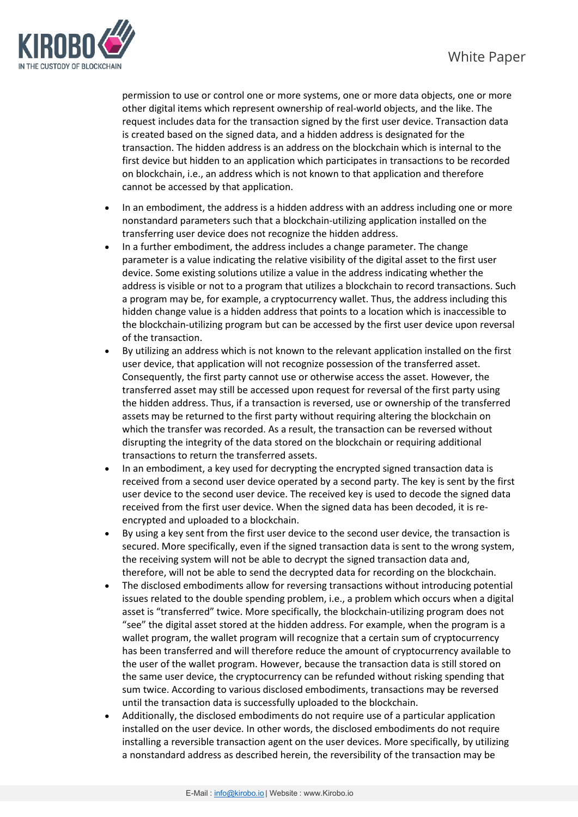

permission to use or control one or more systems, one or more data objects, one or more other digital items which represent ownership of real-world objects, and the like. The request includes data for the transaction signed by the first user device. Transaction data is created based on the signed data, and a hidden address is designated for the transaction. The hidden address is an address on the blockchain which is internal to the first device but hidden to an application which participates in transactions to be recorded on blockchain, i.e., an address which is not known to that application and therefore cannot be accessed by that application.

- In an embodiment, the address is a hidden address with an address including one or more nonstandard parameters such that a blockchain-utilizing application installed on the transferring user device does not recognize the hidden address.
- In a further embodiment, the address includes a change parameter. The change parameter is a value indicating the relative visibility of the digital asset to the first user device. Some existing solutions utilize a value in the address indicating whether the address is visible or not to a program that utilizes a blockchain to record transactions. Such a program may be, for example, a cryptocurrency wallet. Thus, the address including this hidden change value is a hidden address that points to a location which is inaccessible to the blockchain-utilizing program but can be accessed by the first user device upon reversal of the transaction.
- By utilizing an address which is not known to the relevant application installed on the first user device, that application will not recognize possession of the transferred asset. Consequently, the first party cannot use or otherwise access the asset. However, the transferred asset may still be accessed upon request for reversal of the first party using the hidden address. Thus, if a transaction is reversed, use or ownership of the transferred assets may be returned to the first party without requiring altering the blockchain on which the transfer was recorded. As a result, the transaction can be reversed without disrupting the integrity of the data stored on the blockchain or requiring additional transactions to return the transferred assets.
- In an embodiment, a key used for decrypting the encrypted signed transaction data is received from a second user device operated by a second party. The key is sent by the first user device to the second user device. The received key is used to decode the signed data received from the first user device. When the signed data has been decoded, it is reencrypted and uploaded to a blockchain.
- By using a key sent from the first user device to the second user device, the transaction is secured. More specifically, even if the signed transaction data is sent to the wrong system, the receiving system will not be able to decrypt the signed transaction data and, therefore, will not be able to send the decrypted data for recording on the blockchain.
- The disclosed embodiments allow for reversing transactions without introducing potential issues related to the double spending problem, i.e., a problem which occurs when a digital asset is "transferred" twice. More specifically, the blockchain-utilizing program does not "see" the digital asset stored at the hidden address. For example, when the program is a wallet program, the wallet program will recognize that a certain sum of cryptocurrency has been transferred and will therefore reduce the amount of cryptocurrency available to the user of the wallet program. However, because the transaction data is still stored on the same user device, the cryptocurrency can be refunded without risking spending that sum twice. According to various disclosed embodiments, transactions may be reversed until the transaction data is successfully uploaded to the blockchain.
- Additionally, the disclosed embodiments do not require use of a particular application installed on the user device. In other words, the disclosed embodiments do not require installing a reversible transaction agent on the user devices. More specifically, by utilizing a nonstandard address as described herein, the reversibility of the transaction may be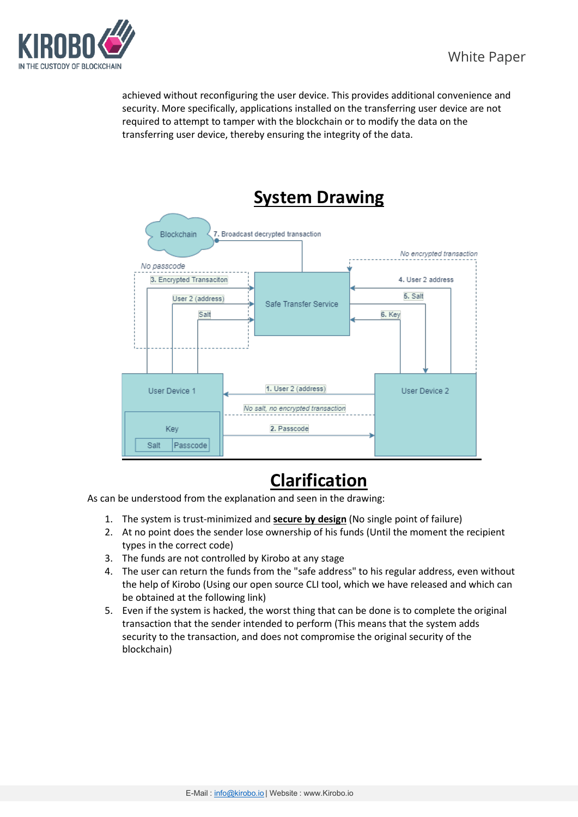

achieved without reconfiguring the user device. This provides additional convenience and security. More specifically, applications installed on the transferring user device are not required to attempt to tamper with the blockchain or to modify the data on the transferring user device, thereby ensuring the integrity of the data.



## **Clarification**

As can be understood from the explanation and seen in the drawing:

- 1. The system is trust-minimized and **secure by design** (No single point of failure)
- 2. At no point does the sender lose ownership of his funds (Until the moment the recipient types in the correct code)
- 3. The funds are not controlled by Kirobo at any stage
- 4. The user can return the funds from the "safe address" to his regular address, even without the help of Kirobo (Using our open source CLI tool, which we have released and which can be obtained at the following link)
- 5. Even if the system is hacked, the worst thing that can be done is to complete the original transaction that the sender intended to perform (This means that the system adds security to the transaction, and does not compromise the original security of the blockchain)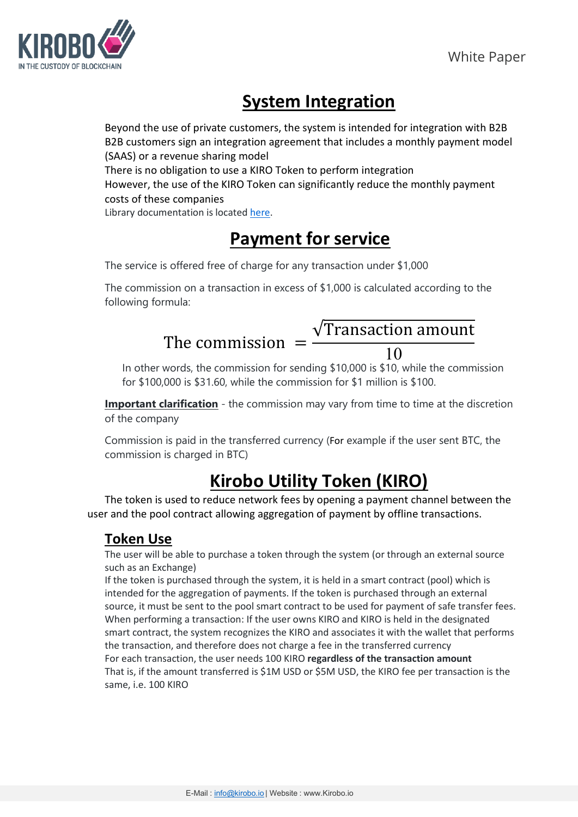

## **System Integration**

Beyond the use of private customers, the system is intended for integration with B2B B2B customers sign an integration agreement that includes a monthly payment model (SAAS) or a revenue sharing model There is no obligation to use a KIRO Token to perform integration However, the use of the KIRO Token can significantly reduce the monthly payment costs of these companies Library documentation is located [here.](https://kiroboio.github.io/ki-safe-transfer-lib/docs/README.html#kirobo-transfer-library-documentation)

## **Payment for service**

The service is offered free of charge for any transaction under \$1,000

The commission on a transaction in excess of \$1,000 is calculated according to the following formula:

### The commission  $=$ √Transaction amount 10

In other words, the commission for sending \$10,000 is \$10, while the commission for \$100,000 is \$31.60, while the commission for \$1 million is \$100.

**Important clarification** - the commission may vary from time to time at the discretion of the company

Commission is paid in the transferred currency (For example if the user sent BTC, the commission is charged in BTC)

## **Kirobo Utility Token (KIRO)**

The token is used to reduce network fees by opening a payment channel between the user and the pool contract allowing aggregation of payment by offline transactions.

### **Token Use**

The user will be able to purchase a token through the system (or through an external source such as an Exchange)

If the token is purchased through the system, it is held in a smart contract (pool) which is intended for the aggregation of payments. If the token is purchased through an external source, it must be sent to the pool smart contract to be used for payment of safe transfer fees. When performing a transaction: If the user owns KIRO and KIRO is held in the designated smart contract, the system recognizes the KIRO and associates it with the wallet that performs the transaction, and therefore does not charge a fee in the transferred currency For each transaction, the user needs 100 KIRO **regardless of the transaction amount** That is, if the amount transferred is \$1M USD or \$5M USD, the KIRO fee per transaction is the same, i.e. 100 KIRO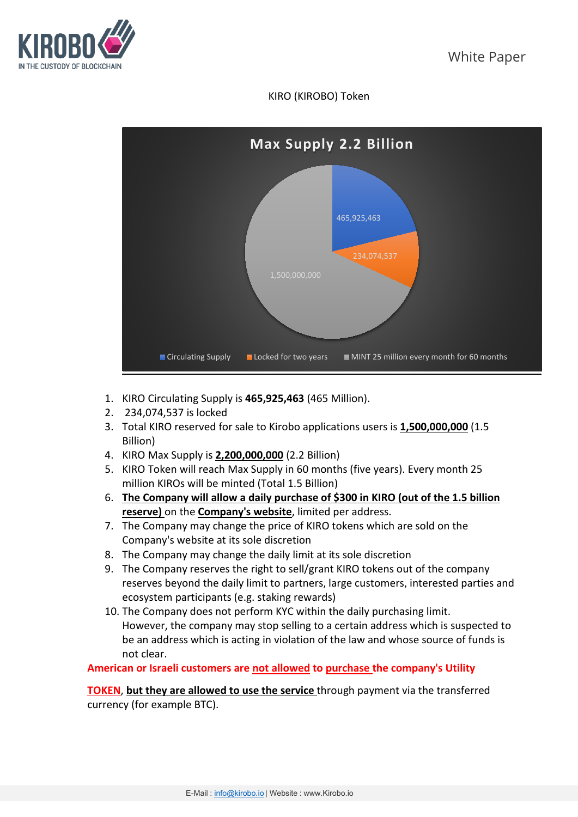

### KIRO (KIROBO) Token



- 1. KIRO Circulating Supply is **465,925,463** (465 Million).
- 2. 234,074,537 is locked
- 3. Total KIRO reserved for sale to Kirobo applications users is **1,500,000,000** (1.5 Billion)
- 4. KIRO Max Supply is **2,200,000,000** (2.2 Billion)
- 5. KIRO Token will reach Max Supply in 60 months (five years). Every month 25 million KIROs will be minted (Total 1.5 Billion)
- 6. **The Company will allow a daily purchase of \$300 in KIRO (out of the 1.5 billion reserve)** on the **Company's website**, limited per address.
- 7. The Company may change the price of KIRO tokens which are sold on the Company's website at its sole discretion
- 8. The Company may change the daily limit at its sole discretion
- 9. The Company reserves the right to sell/grant KIRO tokens out of the company reserves beyond the daily limit to partners, large customers, interested parties and ecosystem participants (e.g. staking rewards)
- 10. The Company does not perform KYC within the daily purchasing limit. However, the company may stop selling to a certain address which is suspected to be an address which is acting in violation of the law and whose source of funds is not clear.

**American or Israeli customers are not allowed to purchase the company's Utility** 

**TOKEN**, **but they are allowed to use the service** through payment via the transferred currency (for example BTC).